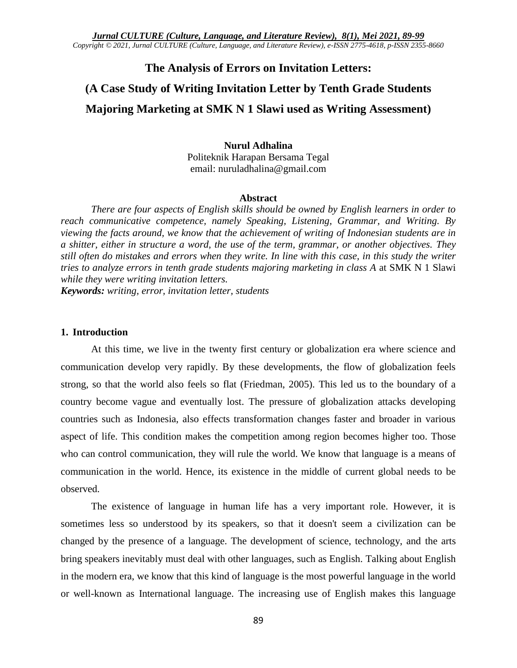*Jurnal CULTURE (Culture, Language, and Literature Review), 8(1), Mei 2021, 89-99 Copyright © 2021, Jurnal CULTURE (Culture, Language, and Literature Review), e-ISSN 2775-4618, p-ISSN 2355-8660*

# **The Analysis of Errors on Invitation Letters:**

# **(A Case Study of Writing Invitation Letter by Tenth Grade Students Majoring Marketing at SMK N 1 Slawi used as Writing Assessment)**

## **Nurul Adhalina** Politeknik Harapan Bersama Tegal email: nuruladhalina@gmail.com

#### **Abstract**

*There are four aspects of English skills should be owned by English learners in order to reach communicative competence, namely Speaking, Listening, Grammar, and Writing. By viewing the facts around, we know that the achievement of writing of Indonesian students are in a shitter, either in structure a word, the use of the term, grammar, or another objectives. They still often do mistakes and errors when they write. In line with this case, in this study the writer tries to analyze errors in tenth grade students majoring marketing in class A* at SMK N 1 Slawi *while they were writing invitation letters.*

*Keywords: writing, error, invitation letter, students*

#### **1. Introduction**

At this time, we live in the twenty first century or globalization era where science and communication develop very rapidly. By these developments, the flow of globalization feels strong, so that the world also feels so flat (Friedman, 2005). This led us to the boundary of a country become vague and eventually lost. The pressure of globalization attacks developing countries such as Indonesia, also effects transformation changes faster and broader in various aspect of life. This condition makes the competition among region becomes higher too. Those who can control communication, they will rule the world. We know that language is a means of communication in the world. Hence, its existence in the middle of current global needs to be observed.

The existence of language in human life has a very important role. However, it is sometimes less so understood by its speakers, so that it doesn't seem a civilization can be changed by the presence of a language. The development of science, technology, and the arts bring speakers inevitably must deal with other languages, such as English. Talking about English in the modern era, we know that this kind of language is the most powerful language in the world or well-known as International language. The increasing use of English makes this language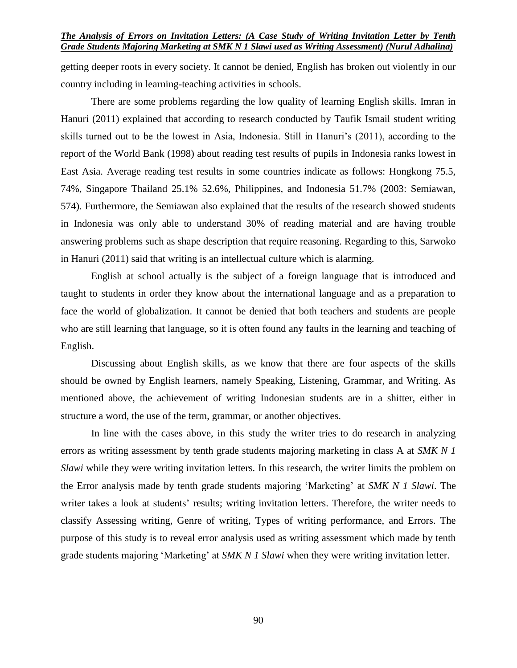#### *The Analysis of Errors on Invitation Letters: (A Case Study of Writing Invitation Letter by Tenth Grade Students Majoring Marketing at SMK N 1 Slawi used as Writing Assessment) (Nurul Adhalina)*

getting deeper roots in every society. It cannot be denied, English has broken out violently in our country including in learning-teaching activities in schools.

There are some problems regarding the low quality of learning English skills. Imran in Hanuri (2011) explained that according to research conducted by Taufik Ismail student writing skills turned out to be the lowest in Asia, Indonesia. Still in Hanuri's (2011), according to the report of the World Bank (1998) about reading test results of pupils in Indonesia ranks lowest in East Asia. Average reading test results in some countries indicate as follows: Hongkong 75.5, 74%, Singapore Thailand 25.1% 52.6%, Philippines, and Indonesia 51.7% (2003: Semiawan, 574). Furthermore, the Semiawan also explained that the results of the research showed students in Indonesia was only able to understand 30% of reading material and are having trouble answering problems such as shape description that require reasoning. Regarding to this, Sarwoko in Hanuri (2011) said that writing is an intellectual culture which is alarming.

English at school actually is the subject of a foreign language that is introduced and taught to students in order they know about the international language and as a preparation to face the world of globalization. It cannot be denied that both teachers and students are people who are still learning that language, so it is often found any faults in the learning and teaching of English.

Discussing about English skills, as we know that there are four aspects of the skills should be owned by English learners, namely Speaking, Listening, Grammar, and Writing. As mentioned above, the achievement of writing Indonesian students are in a shitter, either in structure a word, the use of the term, grammar, or another objectives.

In line with the cases above, in this study the writer tries to do research in analyzing errors as writing assessment by tenth grade students majoring marketing in class A at *SMK N 1 Slawi* while they were writing invitation letters*.* In this research, the writer limits the problem on the Error analysis made by tenth grade students majoring 'Marketing' at *SMK N 1 Slawi*. The writer takes a look at students' results; writing invitation letters. Therefore, the writer needs to classify Assessing writing, Genre of writing, Types of writing performance, and Errors. The purpose of this study is to reveal error analysis used as writing assessment which made by tenth grade students majoring 'Marketing' at *SMK N 1 Slawi* when they were writing invitation letter.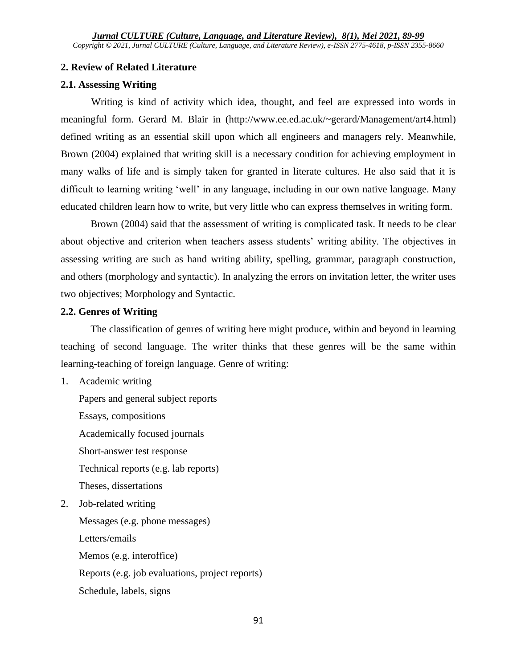# **2. Review of Related Literature**

# **2.1. Assessing Writing**

Writing is kind of activity which idea, thought, and feel are expressed into words in meaningful form. Gerard M. Blair in [\(http://www.ee.ed.ac.uk/~gerard/Management/art4.html\)](http://www.ee.ed.ac.uk/~gerard/Management/art4.html) defined writing as an essential skill upon which all engineers and managers rely. Meanwhile, Brown (2004) explained that writing skill is a necessary condition for achieving employment in many walks of life and is simply taken for granted in literate cultures. He also said that it is difficult to learning writing 'well' in any language, including in our own native language. Many educated children learn how to write, but very little who can express themselves in writing form.

Brown (2004) said that the assessment of writing is complicated task. It needs to be clear about objective and criterion when teachers assess students' writing ability. The objectives in assessing writing are such as hand writing ability, spelling, grammar, paragraph construction, and others (morphology and syntactic). In analyzing the errors on invitation letter, the writer uses two objectives; Morphology and Syntactic.

# **2.2. Genres of Writing**

The classification of genres of writing here might produce, within and beyond in learning teaching of second language. The writer thinks that these genres will be the same within learning-teaching of foreign language. Genre of writing:

1. Academic writing

Papers and general subject reports Essays, compositions Academically focused journals Short-answer test response Technical reports (e.g. lab reports) Theses, dissertations

2. Job-related writing

Messages (e.g. phone messages) Letters/emails Memos (e.g. interoffice) Reports (e.g. job evaluations, project reports) Schedule, labels, signs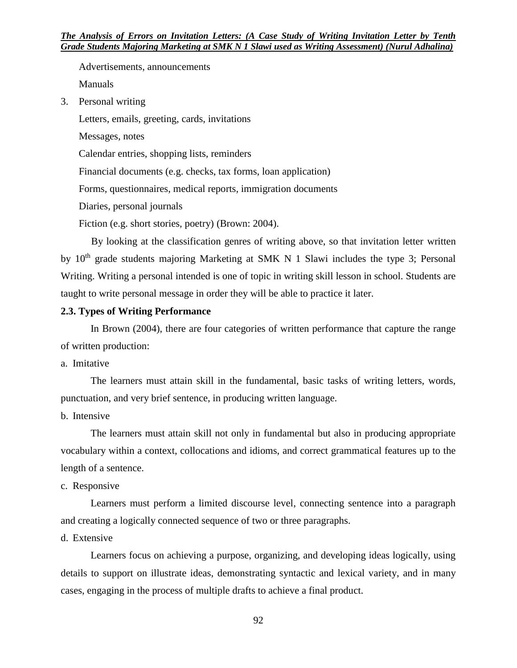Advertisements, announcements Manuals

3. Personal writing

Letters, emails, greeting, cards, invitations

Messages, notes

Calendar entries, shopping lists, reminders

Financial documents (e.g. checks, tax forms, loan application)

Forms, questionnaires, medical reports, immigration documents

Diaries, personal journals

Fiction (e.g. short stories, poetry) (Brown: 2004).

By looking at the classification genres of writing above, so that invitation letter written by  $10<sup>th</sup>$  grade students majoring Marketing at SMK N 1 Slawi includes the type 3; Personal Writing. Writing a personal intended is one of topic in writing skill lesson in school. Students are taught to write personal message in order they will be able to practice it later.

# **2.3. Types of Writing Performance**

In Brown (2004), there are four categories of written performance that capture the range of written production:

a. Imitative

The learners must attain skill in the fundamental, basic tasks of writing letters, words, punctuation, and very brief sentence, in producing written language.

b. Intensive

The learners must attain skill not only in fundamental but also in producing appropriate vocabulary within a context, collocations and idioms, and correct grammatical features up to the length of a sentence.

#### c. Responsive

Learners must perform a limited discourse level, connecting sentence into a paragraph and creating a logically connected sequence of two or three paragraphs.

d. Extensive

Learners focus on achieving a purpose, organizing, and developing ideas logically, using details to support on illustrate ideas, demonstrating syntactic and lexical variety, and in many cases, engaging in the process of multiple drafts to achieve a final product.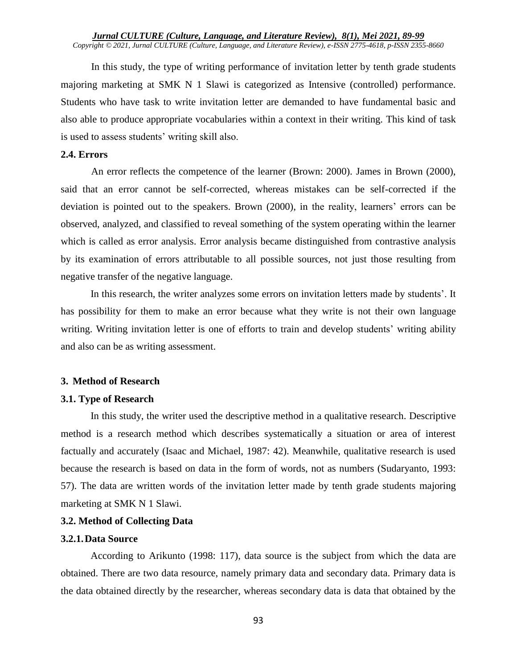In this study, the type of writing performance of invitation letter by tenth grade students majoring marketing at SMK N 1 Slawi is categorized as Intensive (controlled) performance. Students who have task to write invitation letter are demanded to have fundamental basic and also able to produce appropriate vocabularies within a context in their writing. This kind of task is used to assess students' writing skill also.

#### **2.4. Errors**

An error reflects the competence of the learner (Brown: 2000). James in Brown (2000), said that an error cannot be self-corrected, whereas mistakes can be self-corrected if the deviation is pointed out to the speakers. Brown (2000), in the reality, learners' errors can be observed, analyzed, and classified to reveal something of the system operating within the learner which is called as error analysis. Error analysis became distinguished from contrastive analysis by its examination of errors attributable to all possible sources, not just those resulting from negative transfer of the negative language.

In this research, the writer analyzes some errors on invitation letters made by students'. It has possibility for them to make an error because what they write is not their own language writing. Writing invitation letter is one of efforts to train and develop students' writing ability and also can be as writing assessment.

#### **3. Method of Research**

#### **3.1. Type of Research**

In this study, the writer used the descriptive method in a qualitative research. Descriptive method is a research method which describes systematically a situation or area of interest factually and accurately (Isaac and Michael, 1987: 42). Meanwhile, qualitative research is used because the research is based on data in the form of words, not as numbers (Sudaryanto, 1993: 57). The data are written words of the invitation letter made by tenth grade students majoring marketing at SMK N 1 Slawi.

#### **3.2. Method of Collecting Data**

## **3.2.1.Data Source**

According to Arikunto (1998: 117), data source is the subject from which the data are obtained. There are two data resource, namely primary data and secondary data. Primary data is the data obtained directly by the researcher, whereas secondary data is data that obtained by the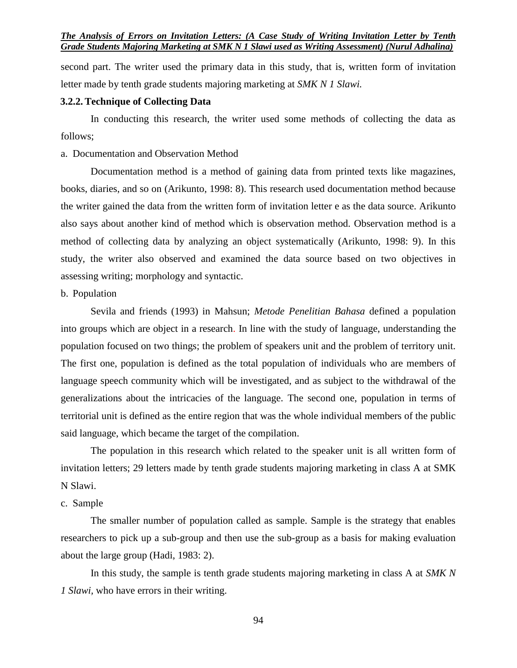*The Analysis of Errors on Invitation Letters: (A Case Study of Writing Invitation Letter by Tenth Grade Students Majoring Marketing at SMK N 1 Slawi used as Writing Assessment) (Nurul Adhalina)*

second part. The writer used the primary data in this study, that is, written form of invitation letter made by tenth grade students majoring marketing at *SMK N 1 Slawi.*

#### **3.2.2.Technique of Collecting Data**

In conducting this research, the writer used some methods of collecting the data as follows;

#### a. Documentation and Observation Method

Documentation method is a method of gaining data from printed texts like magazines, books, diaries, and so on (Arikunto, 1998: 8). This research used documentation method because the writer gained the data from the written form of invitation letter e as the data source. Arikunto also says about another kind of method which is observation method. Observation method is a method of collecting data by analyzing an object systematically (Arikunto, 1998: 9). In this study, the writer also observed and examined the data source based on two objectives in assessing writing; morphology and syntactic.

### b. Population

Sevila and friends (1993) in Mahsun; *Metode Penelitian Bahasa* defined a population into groups which are object in a research. In line with the study of language, understanding the population focused on two things; the problem of speakers unit and the problem of territory unit. The first one, population is defined as the total population of individuals who are members of language speech community which will be investigated, and as subject to the withdrawal of the generalizations about the intricacies of the language. The second one, population in terms of territorial unit is defined as the entire region that was the whole individual members of the public said language, which became the target of the compilation.

The population in this research which related to the speaker unit is all written form of invitation letters; 29 letters made by tenth grade students majoring marketing in class A at SMK N Slawi.

#### c. Sample

The smaller number of population called as sample. Sample is the strategy that enables researchers to pick up a sub-group and then use the sub-group as a basis for making evaluation about the large group (Hadi, 1983: 2).

In this study, the sample is tenth grade students majoring marketing in class A at *SMK N 1 Slawi,* who have errors in their writing.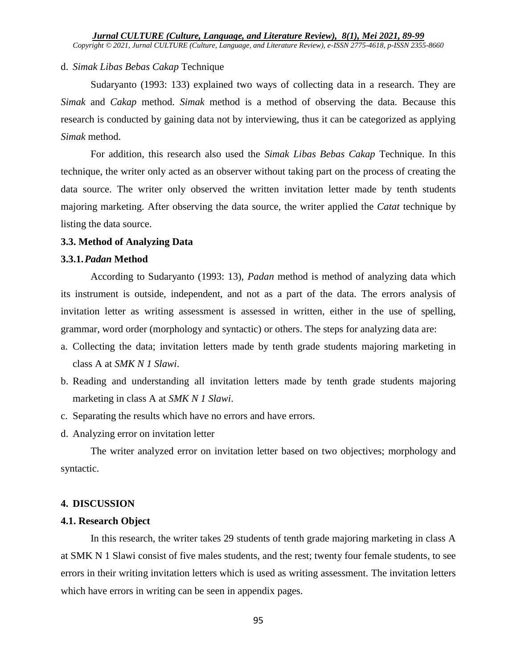# d. *Simak Libas Bebas Cakap* Technique

Sudaryanto (1993: 133) explained two ways of collecting data in a research. They are *Simak* and *Cakap* method. *Simak* method is a method of observing the data. Because this research is conducted by gaining data not by interviewing, thus it can be categorized as applying *Simak* method.

For addition, this research also used the *Simak Libas Bebas Cakap* Technique. In this technique, the writer only acted as an observer without taking part on the process of creating the data source. The writer only observed the written invitation letter made by tenth students majoring marketing. After observing the data source, the writer applied the *Catat* technique by listing the data source.

# **3.3. Method of Analyzing Data**

# **3.3.1.***Padan* **Method**

According to Sudaryanto (1993: 13), *Padan* method is method of analyzing data which its instrument is outside, independent, and not as a part of the data. The errors analysis of invitation letter as writing assessment is assessed in written, either in the use of spelling, grammar, word order (morphology and syntactic) or others. The steps for analyzing data are:

- a. Collecting the data; invitation letters made by tenth grade students majoring marketing in class A at *SMK N 1 Slawi*.
- b. Reading and understanding all invitation letters made by tenth grade students majoring marketing in class A at *SMK N 1 Slawi*.
- c. Separating the results which have no errors and have errors.
- d. Analyzing error on invitation letter

The writer analyzed error on invitation letter based on two objectives; morphology and syntactic.

# **4. DISCUSSION**

# **4.1. Research Object**

In this research, the writer takes 29 students of tenth grade majoring marketing in class A at SMK N 1 Slawi consist of five males students, and the rest; twenty four female students, to see errors in their writing invitation letters which is used as writing assessment. The invitation letters which have errors in writing can be seen in appendix pages.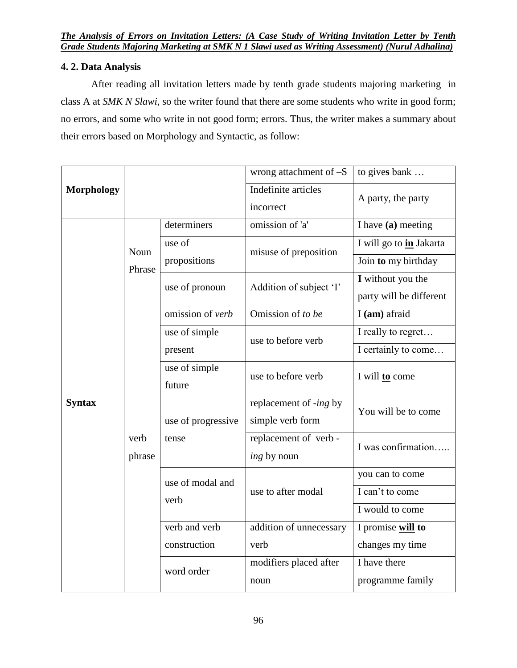# **4. 2. Data Analysis**

After reading all invitation letters made by tenth grade students majoring marketing in class A at *SMK N Slawi*, so the writer found that there are some students who write in good form; no errors, and some who write in not good form; errors. Thus, the writer makes a summary about their errors based on Morphology and Syntactic, as follow:

|                   |                |                             | wrong attachment of $-S$                   | to gives bank           |
|-------------------|----------------|-----------------------------|--------------------------------------------|-------------------------|
| <b>Morphology</b> |                |                             | Indefinite articles                        |                         |
|                   |                |                             | incorrect                                  | A party, the party      |
| <b>Syntax</b>     | Noun<br>Phrase | determiners                 | omission of 'a'                            | I have $(a)$ meeting    |
|                   |                | use of<br>propositions      | misuse of preposition                      | I will go to in Jakarta |
|                   |                |                             |                                            | Join to my birthday     |
|                   |                | use of pronoun              | Addition of subject 'I'                    | I without you the       |
|                   |                |                             |                                            | party will be different |
|                   | verb<br>phrase | omission of verb            | Omission of to be                          | I (am) afraid           |
|                   |                | use of simple<br>present    | use to before verb                         | I really to regret      |
|                   |                |                             |                                            | I certainly to come     |
|                   |                | use of simple<br>future     | use to before verb                         | I will <b>to</b> come   |
|                   |                | use of progressive<br>tense | replacement of -ing by<br>simple verb form | You will be to come     |
|                   |                |                             | replacement of verb -                      | I was confirmation      |
|                   |                |                             | ing by noun                                |                         |
|                   |                | use of modal and<br>verb    | use to after modal                         | you can to come         |
|                   |                |                             |                                            | I can't to come         |
|                   |                |                             |                                            | I would to come         |
|                   |                | verb and verb               | addition of unnecessary                    | I promise will to       |
|                   |                | construction                | verb                                       | changes my time         |
|                   |                | word order                  | modifiers placed after                     | I have there            |
|                   |                |                             | noun                                       | programme family        |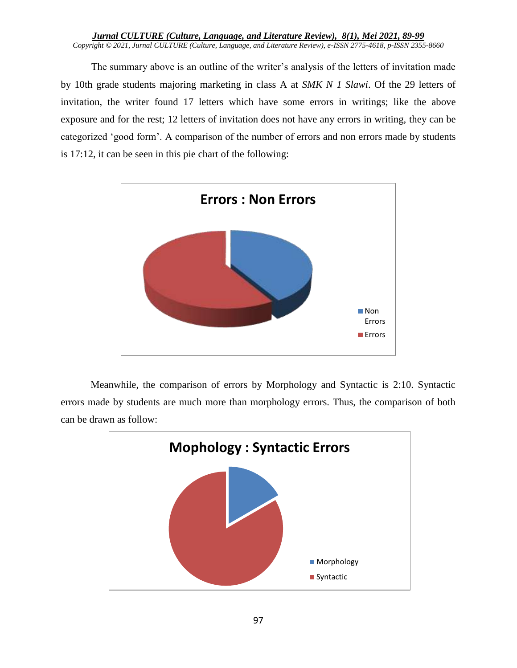*Jurnal CULTURE (Culture, Language, and Literature Review), 8(1), Mei 2021, 89-99 Copyright © 2021, Jurnal CULTURE (Culture, Language, and Literature Review), e-ISSN 2775-4618, p-ISSN 2355-8660*

The summary above is an outline of the writer's analysis of the letters of invitation made by 10th grade students majoring marketing in class A at *SMK N 1 Slawi*. Of the 29 letters of invitation, the writer found 17 letters which have some errors in writings; like the above exposure and for the rest; 12 letters of invitation does not have any errors in writing, they can be categorized 'good form'. A comparison of the number of errors and non errors made by students is 17:12, it can be seen in this pie chart of the following:



Meanwhile, the comparison of errors by Morphology and Syntactic is 2:10. Syntactic errors made by students are much more than morphology errors. Thus, the comparison of both can be drawn as follow:

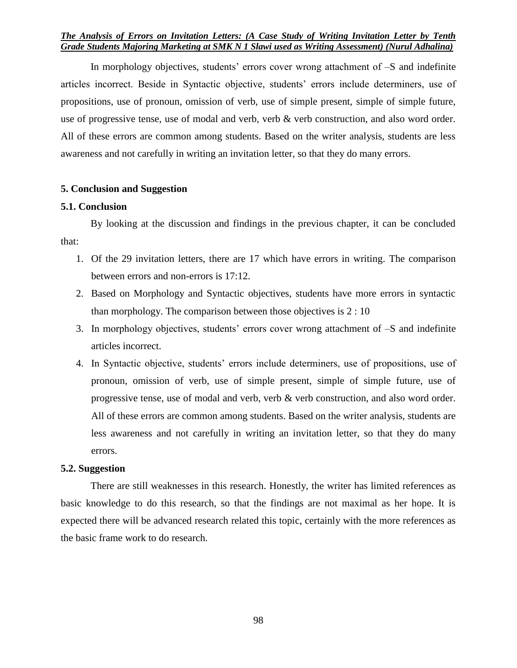### *The Analysis of Errors on Invitation Letters: (A Case Study of Writing Invitation Letter by Tenth Grade Students Majoring Marketing at SMK N 1 Slawi used as Writing Assessment) (Nurul Adhalina)*

In morphology objectives, students' errors cover wrong attachment of –S and indefinite articles incorrect. Beside in Syntactic objective, students' errors include determiners, use of propositions, use of pronoun, omission of verb, use of simple present, simple of simple future, use of progressive tense, use of modal and verb, verb & verb construction, and also word order. All of these errors are common among students. Based on the writer analysis, students are less awareness and not carefully in writing an invitation letter, so that they do many errors.

### **5. Conclusion and Suggestion**

#### **5.1. Conclusion**

By looking at the discussion and findings in the previous chapter, it can be concluded that:

- 1. Of the 29 invitation letters, there are 17 which have errors in writing. The comparison between errors and non-errors is 17:12.
- 2. Based on Morphology and Syntactic objectives, students have more errors in syntactic than morphology. The comparison between those objectives is  $2:10$
- 3. In morphology objectives, students' errors cover wrong attachment of –S and indefinite articles incorrect.
- 4. In Syntactic objective, students' errors include determiners, use of propositions, use of pronoun, omission of verb, use of simple present, simple of simple future, use of progressive tense, use of modal and verb, verb & verb construction, and also word order. All of these errors are common among students. Based on the writer analysis, students are less awareness and not carefully in writing an invitation letter, so that they do many errors.

#### **5.2. Suggestion**

There are still weaknesses in this research. Honestly, the writer has limited references as basic knowledge to do this research, so that the findings are not maximal as her hope. It is expected there will be advanced research related this topic, certainly with the more references as the basic frame work to do research.